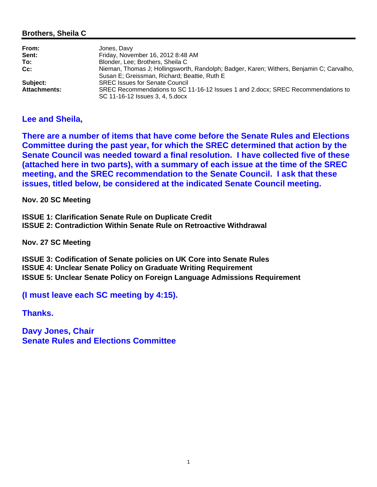### **Brothers, Sheila C**

| From:               | Jones, Davy                                                                              |
|---------------------|------------------------------------------------------------------------------------------|
| Sent:               | Friday, November 16, 2012 8:48 AM                                                        |
| To:                 | Blonder, Lee; Brothers, Sheila C                                                         |
| Cc:                 | Nieman, Thomas J; Hollingsworth, Randolph; Badger, Karen; Withers, Benjamin C; Carvalho, |
|                     | Susan E; Greissman, Richard; Beattie, Ruth E                                             |
| Subject:            | <b>SREC Issues for Senate Council</b>                                                    |
| <b>Attachments:</b> | SREC Recommendations to SC 11-16-12 Issues 1 and 2.docx; SREC Recommendations to         |
|                     | SC 11-16-12 Issues 3, 4, 5. docx                                                         |

## **Lee and Sheila,**

**There are a number of items that have come before the Senate Rules and Elections Committee during the past year, for which the SREC determined that action by the Senate Council was needed toward a final resolution. I have collected five of these (attached here in two parts), with a summary of each issue at the time of the SREC meeting, and the SREC recommendation to the Senate Council. I ask that these issues, titled below, be considered at the indicated Senate Council meeting.**

**Nov. 20 SC Meeting**

**ISSUE 1: Clarification Senate Rule on Duplicate Credit ISSUE 2: Contradiction Within Senate Rule on Retroactive Withdrawal**

**Nov. 27 SC Meeting**

**ISSUE 3: Codification of Senate policies on UK Core into Senate Rules ISSUE 4: Unclear Senate Policy on Graduate Writing Requirement ISSUE 5: Unclear Senate Policy on Foreign Language Admissions Requirement**

**(I must leave each SC meeting by 4:15).**

**Thanks.**

**Davy Jones, Chair Senate Rules and Elections Committee**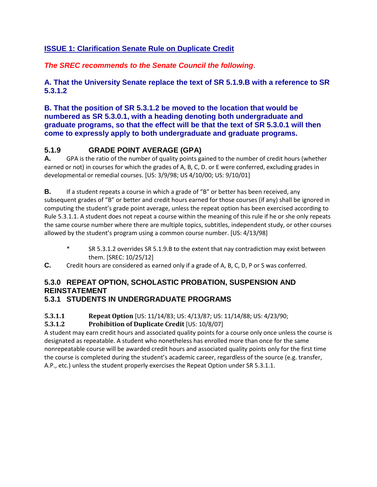# **ISSUE 1: Clarification Senate Rule on Duplicate Credit**

*The SREC recommends to the Senate Council the following*.

**A. That the University Senate replace the text of SR 5.1.9.B with a reference to SR 5.3.1.2** 

**B. That the position of SR 5.3.1.2 be moved to the location that would be numbered as SR 5.3.0.1, with a heading denoting both undergraduate and graduate programs, so that the effect will be that the text of SR 5.3.0.1 will then come to expressly apply to both undergraduate and graduate programs.**

# **5.1.9 GRADE POINT AVERAGE (GPA)**

**A.** GPA is the ratio of the number of quality points gained to the number of credit hours (whether earned or not) in courses for which the grades of A, B, C, D. or E were conferred, excluding grades in developmental or remedial courses. [US: 3/9/98; US 4/10/00; US: 9/10/01]

**B.** If a student repeats a course in which a grade of "B" or better has been received, any subsequent grades of "B" or better and credit hours earned for those courses (if any) shall be ignored in computing the student's grade point average, unless the repeat option has been exercised according to Rule 5.3.1.1. A student does not repeat a course within the meaning of this rule if he or she only repeats the same course number where there are multiple topics, subtitles, independent study, or other courses allowed by the student's program using a common course number. [US: 4/13/98]

- \* SR 5.3.1.2 overrides SR 5.1.9.B to the extent that nay contradiction may exist between them. [SREC: 10/25/12]
- **C.** Credit hours are considered as earned only if a grade of A, B, C, D, P or S was conferred.

# **5.3.0 REPEAT OPTION, SCHOLASTIC PROBATION, SUSPENSION AND REINSTATEMENT**

# **5.3.1 STUDENTS IN UNDERGRADUATE PROGRAMS**

## **5.3.1.1 Repeat Option** [US: 11/14/83; US: 4/13/87; US: 11/14/88; US: 4/23/90;

## **5.3.1.2 Prohibition of Duplicate Credit** [US: 10/8/07]

A student may earn credit hours and associated quality points for a course only once unless the course is designated as repeatable. A student who nonetheless has enrolled more than once for the same nonrepeatable course will be awarded credit hours and associated quality points only for the first time the course is completed during the student's academic career, regardless of the source (e.g. transfer, A.P., etc.) unless the student properly exercises the Repeat Option under SR 5.3.1.1.